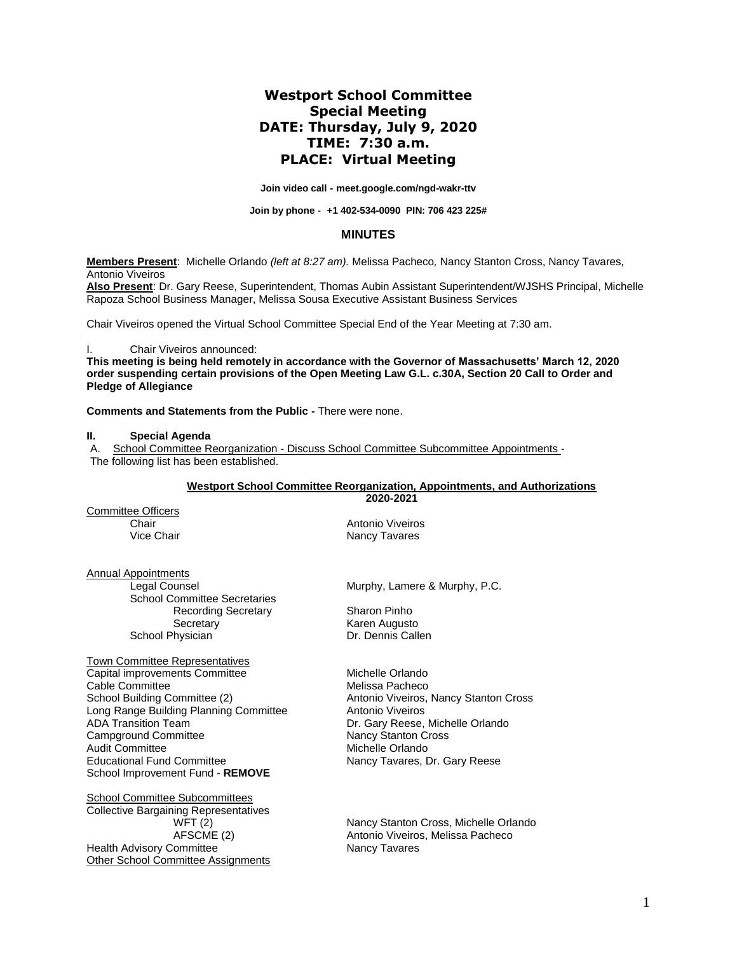# **Westport School Committee Special Meeting DATE: Thursday, July 9, 2020 TIME: 7:30 a.m. PLACE: Virtual Meeting**

**Join video call - [meet.google.com/ngd-wakr-ttv](https://meet.google.com/ngd-wakr-ttv?hs=122&authuser=2)**

**Join by phone - [+1 402-534-0090](tel:%E2%80%AA+1%20402-534-0090%E2%80%AC) PIN: 706 423 225#**

### **MINUTES**

**Members Present**: Michelle Orlando *(left at 8:27 am).* Melissa Pacheco*,* Nancy Stanton Cross, Nancy Tavares*,*  Antonio Viveiros

**Also Present**: Dr. Gary Reese, Superintendent, Thomas Aubin Assistant Superintendent/WJSHS Principal, Michelle Rapoza School Business Manager, Melissa Sousa Executive Assistant Business Services

Chair Viveiros opened the Virtual School Committee Special End of the Year Meeting at 7:30 am.

Chair Viveiros announced:

**This meeting is being held remotely in accordance with the Governor of Massachusetts' March 12, 2020 order suspending certain provisions of the Open Meeting Law G.L. c.30A, Section 20 Call to Order and Pledge of Allegiance**

**Comments and Statements from the Public -** There were none.

### **II. Special Agenda**

A. School Committee Reorganization - Discuss School Committee Subcommittee Appointments - The following list has been established.

#### **Westport School Committee Reorganization, Appointments, and Authorizations 2020-2021**

Committee Officers

Chair **Chair** Antonio Viveiros<br>
Vice Chair **Antonio Viveiros**<br>
Vice Chair **Antonio Viveiros**<br>
Vice Chair Nancy Tavares

Annual Appointments

School Committee Secretaries Recording Secretary **Sharon Pinho** Secretary **Karen Augusto** School Physician Dr. Dennis Callen

Town Committee Representatives Capital improvements Committee Michelle Orlando Cable Committee **Melissa Pacheco**<br>
School Building Committee (2) **Melissa Pacheco**<br>
Antonio Viveiros, Long Range Building Planning Committee<br>ADA Transition Team Campground Committee<br>Audit Committee Educational Fund Committee Nancy Tavares, Dr. Gary Reese School Improvement Fund - **REMOVE**

School Committee Subcommittees Collective Bargaining Representatives Health Advisory Committee Other School Committee Assignments

Legal Counsel **Murphy, Lamere & Murphy, P.C.** 

Antonio Viveiros, Nancy Stanton Cross<br>Antonio Viveiros Dr. Gary Reese, Michelle Orlando<br>Nancy Stanton Cross Michelle Orlando

WFT (2) Nancy Stanton Cross, Michelle Orlando<br>AFSCME (2) Antonio Viveiros, Melissa Pacheco Antonio Viveiros, Melissa Pacheco<br>Nancy Tavares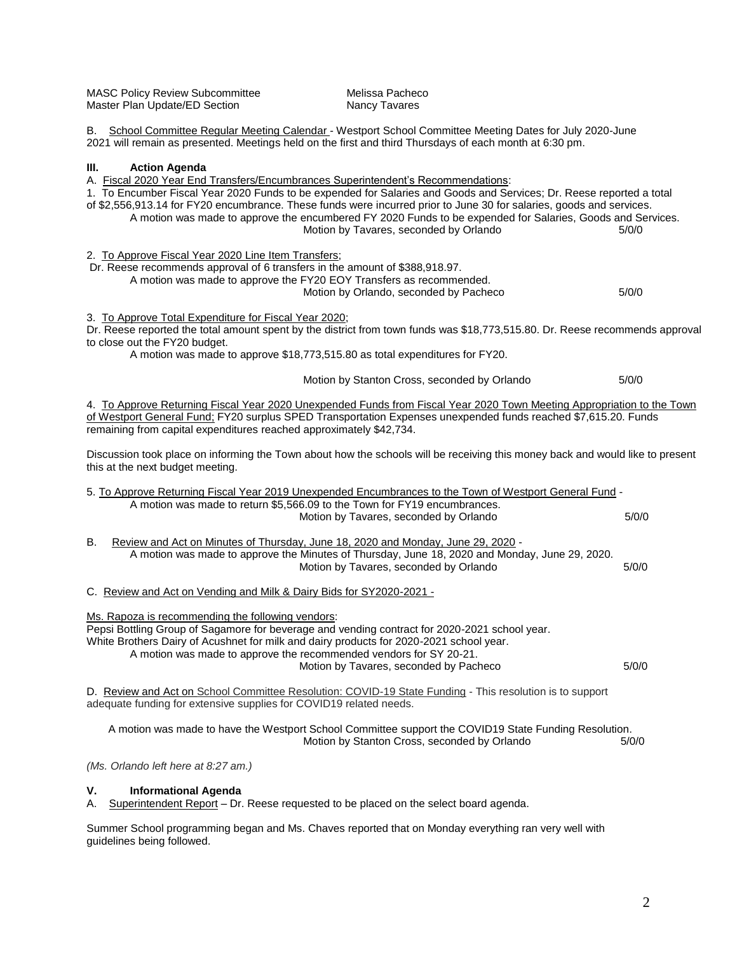| <b>MASC Policy Review Subcommittee</b> |
|----------------------------------------|
| Master Plan Update/ED Section          |

Melissa Pacheco Nancy Tavares

B. School Committee Regular Meeting Calendar - Westport School Committee Meeting Dates for July 2020-June 2021 will remain as presented. Meetings held on the first and third Thursdays of each month at 6:30 pm.

# **III. Action Agenda**

| A. Fiscal 2020 Year End Transfers/Encumbrances Superintendent's Recommendations:<br>1. To Encumber Fiscal Year 2020 Funds to be expended for Salaries and Goods and Services; Dr. Reese reported a total<br>of \$2,556,913.14 for FY20 encumbrance. These funds were incurred prior to June 30 for salaries, goods and services.<br>A motion was made to approve the encumbered FY 2020 Funds to be expended for Salaries, Goods and Services.<br>Motion by Tavares, seconded by Orlando<br>5/0/0 |       |  |
|---------------------------------------------------------------------------------------------------------------------------------------------------------------------------------------------------------------------------------------------------------------------------------------------------------------------------------------------------------------------------------------------------------------------------------------------------------------------------------------------------|-------|--|
| 2. To Approve Fiscal Year 2020 Line Item Transfers;<br>Dr. Reese recommends approval of 6 transfers in the amount of \$388,918.97.<br>A motion was made to approve the FY20 EOY Transfers as recommended.<br>Motion by Orlando, seconded by Pacheco                                                                                                                                                                                                                                               | 5/0/0 |  |
| 3. To Approve Total Expenditure for Fiscal Year 2020;<br>Dr. Reese reported the total amount spent by the district from town funds was \$18,773,515.80. Dr. Reese recommends approval<br>to close out the FY20 budget.<br>A motion was made to approve \$18,773,515.80 as total expenditures for FY20.                                                                                                                                                                                            |       |  |
| Motion by Stanton Cross, seconded by Orlando                                                                                                                                                                                                                                                                                                                                                                                                                                                      | 5/0/0 |  |
| 4. To Approve Returning Fiscal Year 2020 Unexpended Funds from Fiscal Year 2020 Town Meeting Appropriation to the Town<br>of Westport General Fund: FY20 surplus SPED Transportation Expenses unexpended funds reached \$7,615.20. Funds<br>remaining from capital expenditures reached approximately \$42,734.                                                                                                                                                                                   |       |  |
| Discussion took place on informing the Town about how the schools will be receiving this money back and would like to present<br>this at the next budget meeting.                                                                                                                                                                                                                                                                                                                                 |       |  |
| 5. To Approve Returning Fiscal Year 2019 Unexpended Encumbrances to the Town of Westport General Fund -                                                                                                                                                                                                                                                                                                                                                                                           |       |  |
| A motion was made to return \$5,566.09 to the Town for FY19 encumbrances.<br>Motion by Tavares, seconded by Orlando                                                                                                                                                                                                                                                                                                                                                                               | 5/0/0 |  |
| Review and Act on Minutes of Thursday, June 18, 2020 and Monday, June 29, 2020 -<br>В.<br>A motion was made to approve the Minutes of Thursday, June 18, 2020 and Monday, June 29, 2020.<br>Motion by Tavares, seconded by Orlando                                                                                                                                                                                                                                                                | 5/0/0 |  |
| C. Review and Act on Vending and Milk & Dairy Bids for SY2020-2021 -                                                                                                                                                                                                                                                                                                                                                                                                                              |       |  |
| Ms. Rapoza is recommending the following vendors:<br>Pepsi Bottling Group of Sagamore for beverage and vending contract for 2020-2021 school year.<br>White Brothers Dairy of Acushnet for milk and dairy products for 2020-2021 school year.<br>A motion was made to approve the recommended vendors for SY 20-21.<br>Motion by Tavares, seconded by Pacheco<br>D. Review and Act on School Committee Resolution: COVID-19 State Funding - This resolution is to support                         | 5/0/0 |  |
| adequate funding for extensive supplies for COVID19 related needs.                                                                                                                                                                                                                                                                                                                                                                                                                                |       |  |

A motion was made to have the Westport School Committee support the COVID19 State Funding Resolution. Motion by Stanton Cross, seconded by Orlando

*(Ms. Orlando left here at 8:27 am.)*

## **V. Informational Agenda**

A. Superintendent Report – Dr. Reese requested to be placed on the select board agenda.

Summer School programming began and Ms. Chaves reported that on Monday everything ran very well with guidelines being followed.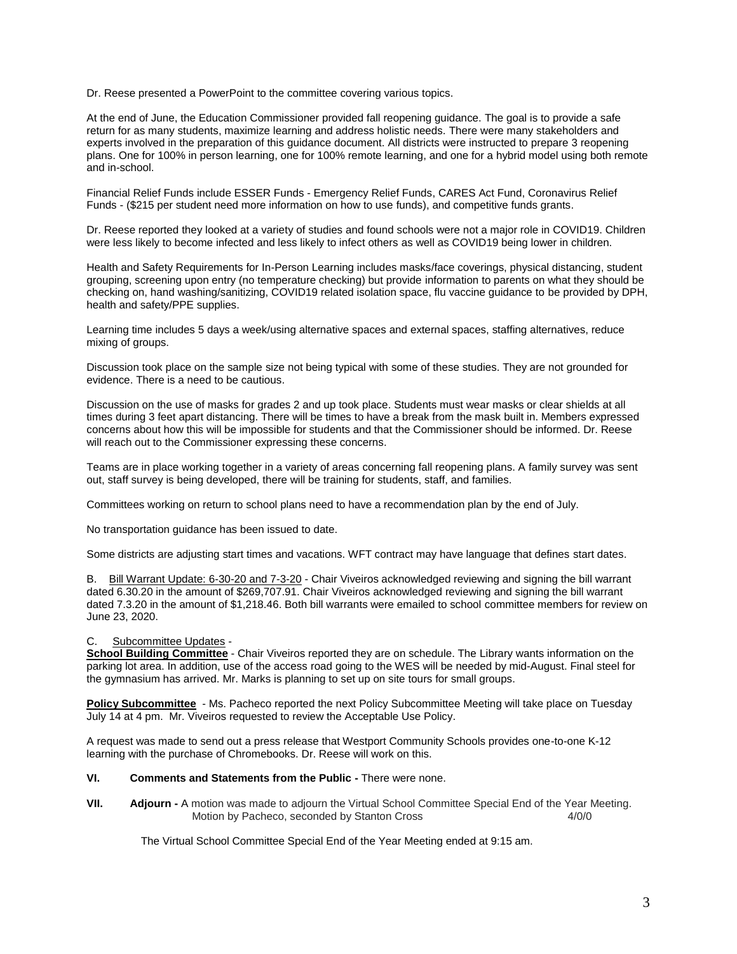Dr. Reese presented a PowerPoint to the committee covering various topics.

At the end of June, the Education Commissioner provided fall reopening guidance. The goal is to provide a safe return for as many students, maximize learning and address holistic needs. There were many stakeholders and experts involved in the preparation of this guidance document. All districts were instructed to prepare 3 reopening plans. One for 100% in person learning, one for 100% remote learning, and one for a hybrid model using both remote and in-school.

Financial Relief Funds include ESSER Funds - Emergency Relief Funds, CARES Act Fund, Coronavirus Relief Funds - (\$215 per student need more information on how to use funds), and competitive funds grants.

Dr. Reese reported they looked at a variety of studies and found schools were not a major role in COVID19. Children were less likely to become infected and less likely to infect others as well as COVID19 being lower in children.

Health and Safety Requirements for In-Person Learning includes masks/face coverings, physical distancing, student grouping, screening upon entry (no temperature checking) but provide information to parents on what they should be checking on, hand washing/sanitizing, COVID19 related isolation space, flu vaccine guidance to be provided by DPH, health and safety/PPE supplies.

Learning time includes 5 days a week/using alternative spaces and external spaces, staffing alternatives, reduce mixing of groups.

Discussion took place on the sample size not being typical with some of these studies. They are not grounded for evidence. There is a need to be cautious.

Discussion on the use of masks for grades 2 and up took place. Students must wear masks or clear shields at all times during 3 feet apart distancing. There will be times to have a break from the mask built in. Members expressed concerns about how this will be impossible for students and that the Commissioner should be informed. Dr. Reese will reach out to the Commissioner expressing these concerns.

Teams are in place working together in a variety of areas concerning fall reopening plans. A family survey was sent out, staff survey is being developed, there will be training for students, staff, and families.

Committees working on return to school plans need to have a recommendation plan by the end of July.

No transportation guidance has been issued to date.

Some districts are adjusting start times and vacations. WFT contract may have language that defines start dates.

B. Bill Warrant Update: 6-30-20 and 7-3-20 - Chair Viveiros acknowledged reviewing and signing the bill warrant dated 6.30.20 in the amount of \$269,707.91. Chair Viveiros acknowledged reviewing and signing the bill warrant dated 7.3.20 in the amount of \$1,218.46. Both bill warrants were emailed to school committee members for review on June 23, 2020.

### C. Subcommittee Updates -

**School Building Committee** - Chair Viveiros reported they are on schedule. The Library wants information on the parking lot area. In addition, use of the access road going to the WES will be needed by mid-August. Final steel for the gymnasium has arrived. Mr. Marks is planning to set up on site tours for small groups.

**Policy Subcommittee** - Ms. Pacheco reported the next Policy Subcommittee Meeting will take place on Tuesday July 14 at 4 pm. Mr. Viveiros requested to review the Acceptable Use Policy.

A request was made to send out a press release that Westport Community Schools provides one-to-one K-12 learning with the purchase of Chromebooks. Dr. Reese will work on this.

### **VI. Comments and Statements from the Public -** There were none.

**VII. Adjourn -** A motion was made to adjourn the Virtual School Committee Special End of the Year Meeting. Motion by Pacheco, seconded by Stanton Cross 4/0/0

The Virtual School Committee Special End of the Year Meeting ended at 9:15 am.